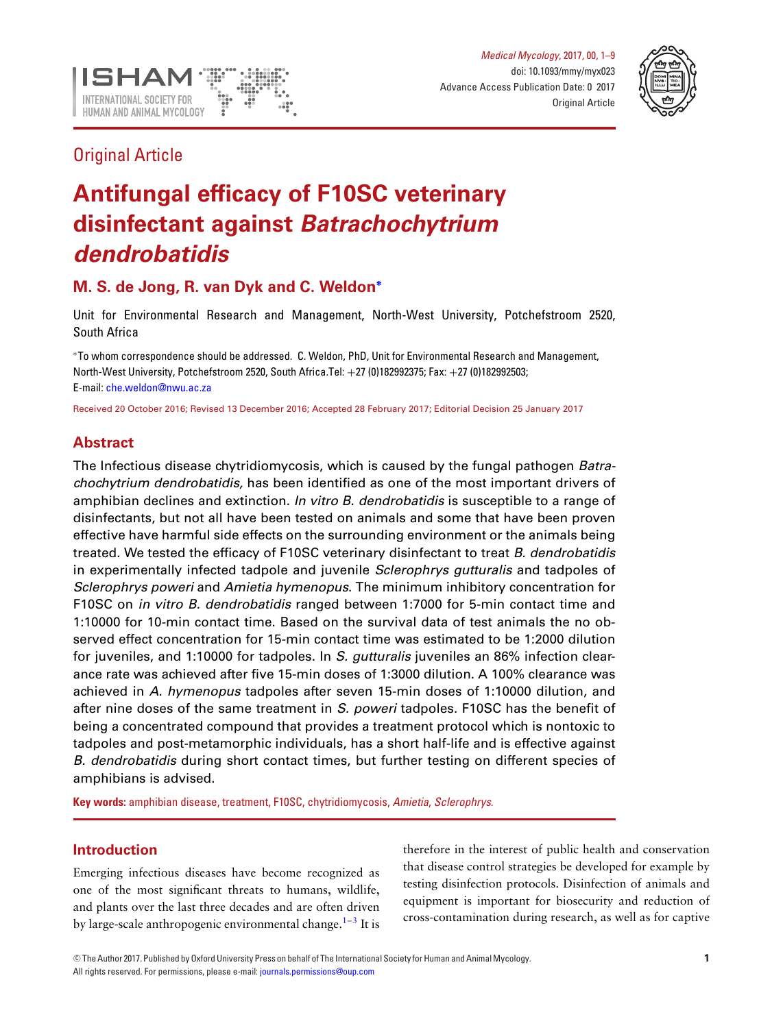



## Original Article

# **Antifungal efficacy of F10SC veterinary disinfectant against** *Batrachochytrium dendrobatidis*

## **M. S. de Jong, R. van Dyk and C. Weldon[∗](#page-0-0)**

Unit for Environmental Research and Management, North-West University, Potchefstroom 2520, South Africa

<span id="page-0-0"></span><sup>∗</sup>To whom correspondence should be addressed. C. Weldon, PhD, Unit for Environmental Research and Management, North-West University, Potchefstroom 2520, South Africa.Tel: +27 (0)182992375; Fax: +27 (0)182992503; E-mail: [che.weldon@nwu.ac.za](mailto:che.weldon@nwu.ac.za)

Received 20 October 2016; Revised 13 December 2016; Accepted 28 February 2017; Editorial Decision 25 January 2017

## **Abstract**

The Infectious disease chytridiomycosis, which is caused by the fungal pathogen *Batrachochytrium dendrobatidis,* has been identified as one of the most important drivers of amphibian declines and extinction. *In vitro B. dendrobatidis* is susceptible to a range of disinfectants, but not all have been tested on animals and some that have been proven effective have harmful side effects on the surrounding environment or the animals being treated. We tested the efficacy of F10SC veterinary disinfectant to treat *B. dendrobatidis* in experimentally infected tadpole and juvenile *Sclerophrys gutturalis* and tadpoles of *Sclerophrys poweri* and *Amietia hymenopus*. The minimum inhibitory concentration for F10SC on *in vitro B. dendrobatidis* ranged between 1:7000 for 5-min contact time and 1:10000 for 10-min contact time. Based on the survival data of test animals the no observed effect concentration for 15-min contact time was estimated to be 1:2000 dilution for juveniles, and 1:10000 for tadpoles. In *S. gutturalis* juveniles an 86% infection clearance rate was achieved after five 15-min doses of 1:3000 dilution. A 100% clearance was achieved in *A. hymenopus* tadpoles after seven 15-min doses of 1:10000 dilution, and after nine doses of the same treatment in *S. poweri* tadpoles. F10SC has the benefit of being a concentrated compound that provides a treatment protocol which is nontoxic to tadpoles and post-metamorphic individuals, has a short half-life and is effective against *B. dendrobatidis* during short contact times, but further testing on different species of amphibians is advised.

**Key words:** amphibian disease, treatment, F10SC, chytridiomycosis, *Amietia*, *Sclerophrys*.

## **Introduction**

Emerging infectious diseases have become recognized as one of the most significant threats to humans, wildlife, and plants over the last three decades and are often driven by large-scale anthropogenic environmental change.<sup>1[–3](#page-7-1)</sup> It is

therefore in the interest of public health and conservation that disease control strategies be developed for example by testing disinfection protocols. Disinfection of animals and equipment is important for biosecurity and reduction of cross-contamination during research, as well as for captive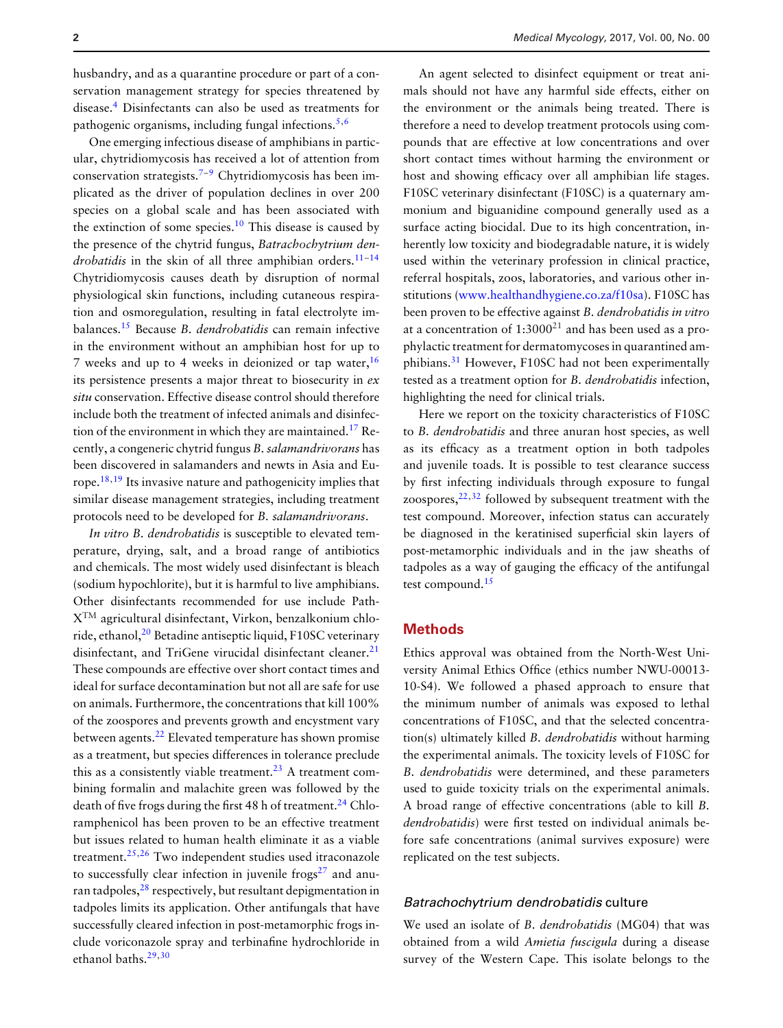husbandry, and as a quarantine procedure or part of a conservation management strategy for species threatened by disease[.4](#page-7-2) Disinfectants can also be used as treatments for pathogenic organisms, including fungal infections. $5,6$  $5,6$ 

One emerging infectious disease of amphibians in particular, chytridiomycosis has received a lot of attention from conservation strategists.<sup>[7–](#page-7-5)[9](#page-7-6)</sup> Chytridiomycosis has been implicated as the driver of population declines in over 200 species on a global scale and has been associated with the extinction of some species.<sup>[10](#page-8-0)</sup> This disease is caused by the presence of the chytrid fungus, *Batrachochytrium dendrobatidis* in the skin of all three amphibian orders.<sup>11-[14](#page-8-2)</sup> Chytridiomycosis causes death by disruption of normal physiological skin functions, including cutaneous respiration and osmoregulation, resulting in fatal electrolyte imbalances.[15](#page-8-3) Because *B. dendrobatidis* can remain infective in the environment without an amphibian host for up to 7 weeks and up to 4 weeks in deionized or tap water,  $16$ its persistence presents a major threat to biosecurity in *ex situ* conservation. Effective disease control should therefore include both the treatment of infected animals and disinfection of the environment in which they are maintained.<sup>17</sup> Recently, a congeneric chytrid fungus *B. salamandrivorans* has been discovered in salamanders and newts in Asia and Eu-rope.<sup>[18,](#page-8-6)[19](#page-8-7)</sup> Its invasive nature and pathogenicity implies that similar disease management strategies, including treatment protocols need to be developed for *B. salamandrivorans*.

*In vitro B. dendrobatidis* is susceptible to elevated temperature, drying, salt, and a broad range of antibiotics and chemicals. The most widely used disinfectant is bleach (sodium hypochlorite), but it is harmful to live amphibians. Other disinfectants recommended for use include Path-XTM agricultural disinfectant, Virkon, benzalkonium chlo-ride, ethanol,<sup>[20](#page-8-8)</sup> Betadine antiseptic liquid, F10SC veterinary disinfectant, and TriGene virucidal disinfectant cleaner.<sup>[21](#page-8-9)</sup> These compounds are effective over short contact times and ideal for surface decontamination but not all are safe for use on animals. Furthermore, the concentrations that kill 100% of the zoospores and prevents growth and encystment vary between agents.<sup>[22](#page-8-10)</sup> Elevated temperature has shown promise as a treatment, but species differences in tolerance preclude this as a consistently viable treatment.<sup>[23](#page-8-11)</sup> A treatment combining formalin and malachite green was followed by the death of five frogs during the first 48 h of treatment.<sup>[24](#page-8-12)</sup> Chloramphenicol has been proven to be an effective treatment but issues related to human health eliminate it as a viable treatment.[25,](#page-8-13)[26](#page-8-14) Two independent studies used itraconazole to successfully clear infection in juvenile frogs $27$  and anuran tadpoles, $28$  respectively, but resultant depigmentation in tadpoles limits its application. Other antifungals that have successfully cleared infection in post-metamorphic frogs include voriconazole spray and terbinafine hydrochloride in ethanol baths.[29,](#page-8-17)[30](#page-8-18)

An agent selected to disinfect equipment or treat animals should not have any harmful side effects, either on the environment or the animals being treated. There is therefore a need to develop treatment protocols using compounds that are effective at low concentrations and over short contact times without harming the environment or host and showing efficacy over all amphibian life stages. F10SC veterinary disinfectant (F10SC) is a quaternary ammonium and biguanidine compound generally used as a surface acting biocidal. Due to its high concentration, inherently low toxicity and biodegradable nature, it is widely used within the veterinary profession in clinical practice, referral hospitals, zoos, laboratories, and various other institutions [\(www.healthandhygiene.co.za/f10sa\)](http://www.healthandhygiene.co.za/f10sa). F10SC has been proven to be effective against *B. dendrobatidis in vitro* at a concentration of  $1:3000^{21}$  and has been used as a prophylactic treatment for dermatomycoses in quarantined amphibians.[31](#page-8-19) However, F10SC had not been experimentally tested as a treatment option for *B. dendrobatidis* infection, highlighting the need for clinical trials.

Here we report on the toxicity characteristics of F10SC to *B. dendrobatidis* and three anuran host species, as well as its efficacy as a treatment option in both tadpoles and juvenile toads. It is possible to test clearance success by first infecting individuals through exposure to fungal zoospores, $22,32$  $22,32$  followed by subsequent treatment with the test compound. Moreover, infection status can accurately be diagnosed in the keratinised superficial skin layers of post-metamorphic individuals and in the jaw sheaths of tadpoles as a way of gauging the efficacy of the antifungal test compound.<sup>[15](#page-8-3)</sup>

#### **Methods**

Ethics approval was obtained from the North-West University Animal Ethics Office (ethics number NWU-00013- 10-S4). We followed a phased approach to ensure that the minimum number of animals was exposed to lethal concentrations of F10SC, and that the selected concentration(s) ultimately killed *B. dendrobatidis* without harming the experimental animals. The toxicity levels of F10SC for *B. dendrobatidis* were determined, and these parameters used to guide toxicity trials on the experimental animals. A broad range of effective concentrations (able to kill *B. dendrobatidis*) were first tested on individual animals before safe concentrations (animal survives exposure) were replicated on the test subjects.

## *Batrachochytrium dendrobatidis* culture

We used an isolate of *B. dendrobatidis* (MG04) that was obtained from a wild *Amietia fuscigula* during a disease survey of the Western Cape. This isolate belongs to the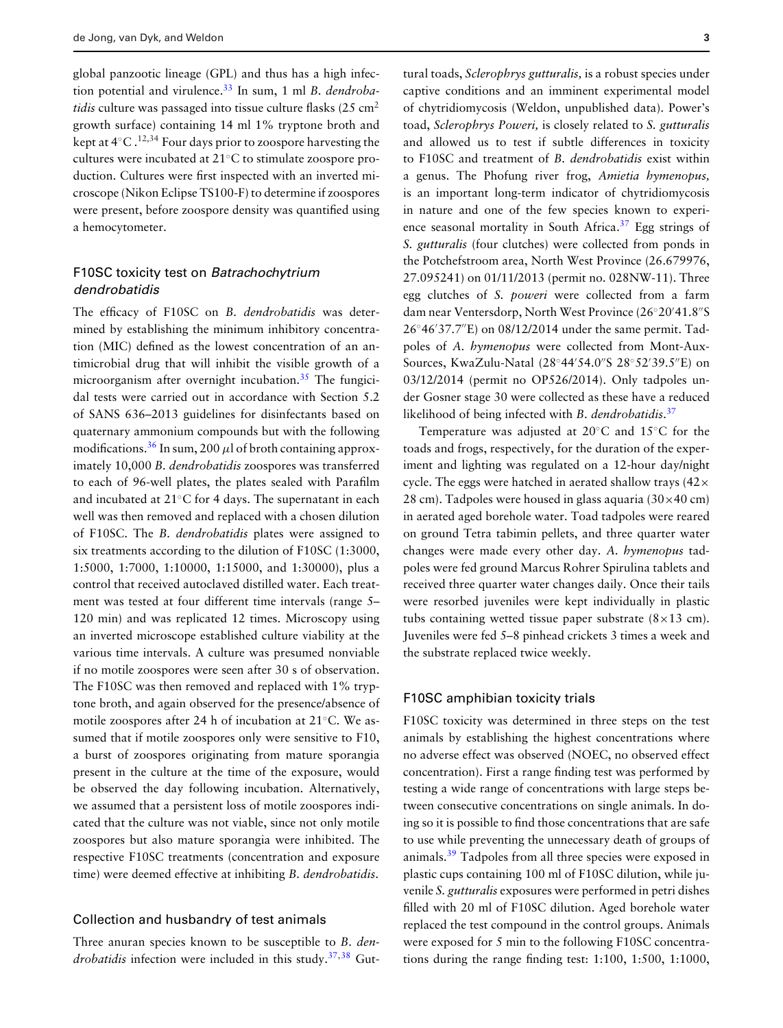global panzootic lineage (GPL) and thus has a high infection potential and virulence.[33](#page-8-21) In sum, 1 ml *B. dendrobatidis* culture was passaged into tissue culture flasks (25 cm<sup>2</sup>) growth surface) containing 14 ml 1% tryptone broth and kept at  $4°C \cdot 12,34$  Four days prior to zoospore harvesting the cultures were incubated at 21◦C to stimulate zoospore production. Cultures were first inspected with an inverted microscope (Nikon Eclipse TS100-F) to determine if zoospores were present, before zoospore density was quantified using a hemocytometer.

## F10SC toxicity test on *Batrachochytrium dendrobatidis*

The efficacy of F10SC on *B. dendrobatidis* was determined by establishing the minimum inhibitory concentration (MIC) defined as the lowest concentration of an antimicrobial drug that will inhibit the visible growth of a microorganism after overnight incubation.<sup>35</sup> The fungicidal tests were carried out in accordance with Section 5.2 of SANS 636–2013 guidelines for disinfectants based on quaternary ammonium compounds but with the following modifications.<sup>[36](#page-8-23)</sup> In sum, 200  $\mu$ l of broth containing approximately 10,000 *B. dendrobatidis* zoospores was transferred to each of 96-well plates, the plates sealed with Parafilm and incubated at 21◦C for 4 days. The supernatant in each well was then removed and replaced with a chosen dilution of F10SC. The *B. dendrobatidis* plates were assigned to six treatments according to the dilution of F10SC (1:3000, 1:5000, 1:7000, 1:10000, 1:15000, and 1:30000), plus a control that received autoclaved distilled water. Each treatment was tested at four different time intervals (range 5– 120 min) and was replicated 12 times. Microscopy using an inverted microscope established culture viability at the various time intervals. A culture was presumed nonviable if no motile zoospores were seen after 30 s of observation. The F10SC was then removed and replaced with 1% tryptone broth, and again observed for the presence/absence of motile zoospores after 24 h of incubation at 21◦C. We assumed that if motile zoospores only were sensitive to F10, a burst of zoospores originating from mature sporangia present in the culture at the time of the exposure, would be observed the day following incubation. Alternatively, we assumed that a persistent loss of motile zoospores indicated that the culture was not viable, since not only motile zoospores but also mature sporangia were inhibited. The respective F10SC treatments (concentration and exposure time) were deemed effective at inhibiting *B. dendrobatidis*.

#### Collection and husbandry of test animals

Three anuran species known to be susceptible to *B. dendrobatidis* infection were included in this study.[37,](#page-8-24)[38](#page-8-25) Gut-

tural toads, *Sclerophrys gutturalis,* is a robust species under captive conditions and an imminent experimental model of chytridiomycosis (Weldon, unpublished data). Power's toad, *Sclerophrys Poweri,* is closely related to *S. gutturalis* and allowed us to test if subtle differences in toxicity to F10SC and treatment of *B. dendrobatidis* exist within a genus. The Phofung river frog, *Amietia hymenopus,* is an important long-term indicator of chytridiomycosis in nature and one of the few species known to experience seasonal mortality in South Africa.<sup>37</sup> Egg strings of *S. gutturalis* (four clutches) were collected from ponds in the Potchefstroom area, North West Province (26.679976, 27.095241) on 01/11/2013 (permit no. 028NW-11). Three egg clutches of *S. poweri* were collected from a farm dam near Ventersdorp, North West Province (26°20′41.8″S 26◦46 37.7E) on 08/12/2014 under the same permit. Tadpoles of *A. hymenopus* were collected from Mont-Aux-Sources, KwaZulu-Natal (28°44′54.0″S 28°52′39.5″E) on 03/12/2014 (permit no OP526/2014). Only tadpoles under Gosner stage 30 were collected as these have a reduced likelihood of being infected with *B. dendrobatidis*. [37](#page-8-24)

Temperature was adjusted at 20◦C and 15◦C for the toads and frogs, respectively, for the duration of the experiment and lighting was regulated on a 12-hour day/night cycle. The eggs were hatched in aerated shallow trays  $(42 \times$ 28 cm). Tadpoles were housed in glass aquaria  $(30\times40 \text{ cm})$ in aerated aged borehole water. Toad tadpoles were reared on ground Tetra tabimin pellets, and three quarter water changes were made every other day. *A. hymenopus* tadpoles were fed ground Marcus Rohrer Spirulina tablets and received three quarter water changes daily. Once their tails were resorbed juveniles were kept individually in plastic tubs containing wetted tissue paper substrate  $(8 \times 13 \text{ cm})$ . Juveniles were fed 5–8 pinhead crickets 3 times a week and the substrate replaced twice weekly.

#### F10SC amphibian toxicity trials

F10SC toxicity was determined in three steps on the test animals by establishing the highest concentrations where no adverse effect was observed (NOEC, no observed effect concentration). First a range finding test was performed by testing a wide range of concentrations with large steps between consecutive concentrations on single animals. In doing so it is possible to find those concentrations that are safe to use while preventing the unnecessary death of groups of animals.[39](#page-8-26) Tadpoles from all three species were exposed in plastic cups containing 100 ml of F10SC dilution, while juvenile *S. gutturalis* exposures were performed in petri dishes filled with 20 ml of F10SC dilution. Aged borehole water replaced the test compound in the control groups. Animals were exposed for 5 min to the following F10SC concentrations during the range finding test: 1:100, 1:500, 1:1000,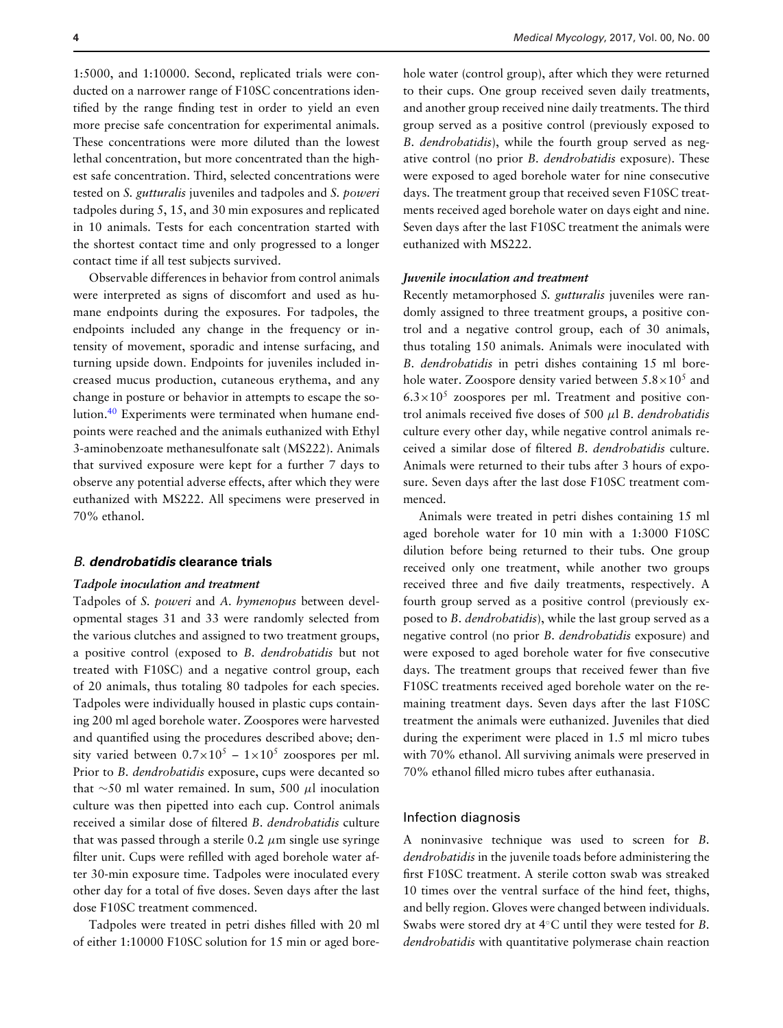1:5000, and 1:10000. Second, replicated trials were conducted on a narrower range of F10SC concentrations identified by the range finding test in order to yield an even more precise safe concentration for experimental animals. These concentrations were more diluted than the lowest lethal concentration, but more concentrated than the highest safe concentration. Third, selected concentrations were tested on *S. gutturalis* juveniles and tadpoles and *S. poweri* tadpoles during 5, 15, and 30 min exposures and replicated in 10 animals. Tests for each concentration started with the shortest contact time and only progressed to a longer contact time if all test subjects survived.

Observable differences in behavior from control animals were interpreted as signs of discomfort and used as humane endpoints during the exposures. For tadpoles, the endpoints included any change in the frequency or intensity of movement, sporadic and intense surfacing, and turning upside down. Endpoints for juveniles included increased mucus production, cutaneous erythema, and any change in posture or behavior in attempts to escape the solution.[40](#page-8-27) Experiments were terminated when humane endpoints were reached and the animals euthanized with Ethyl 3-aminobenzoate methanesulfonate salt (MS222). Animals that survived exposure were kept for a further 7 days to observe any potential adverse effects, after which they were euthanized with MS222. All specimens were preserved in 70% ethanol.

#### *B*. *dendrobatidis* **clearance trials**

#### *Tadpole inoculation and treatment*

Tadpoles of *S. poweri* and *A. hymenopus* between developmental stages 31 and 33 were randomly selected from the various clutches and assigned to two treatment groups, a positive control (exposed to *B. dendrobatidis* but not treated with F10SC) and a negative control group, each of 20 animals, thus totaling 80 tadpoles for each species. Tadpoles were individually housed in plastic cups containing 200 ml aged borehole water. Zoospores were harvested and quantified using the procedures described above; density varied between  $0.7 \times 10^5 - 1 \times 10^5$  zoospores per ml. Prior to *B. dendrobatidis* exposure, cups were decanted so that ∼50 ml water remained. In sum, 500 μl inoculation culture was then pipetted into each cup. Control animals received a similar dose of filtered *B. dendrobatidis* culture that was passed through a sterile 0.2  $\mu$ m single use syringe filter unit. Cups were refilled with aged borehole water after 30-min exposure time. Tadpoles were inoculated every other day for a total of five doses. Seven days after the last dose F10SC treatment commenced.

Tadpoles were treated in petri dishes filled with 20 ml of either 1:10000 F10SC solution for 15 min or aged borehole water (control group), after which they were returned to their cups. One group received seven daily treatments, and another group received nine daily treatments. The third group served as a positive control (previously exposed to *B. dendrobatidis*), while the fourth group served as negative control (no prior *B. dendrobatidis* exposure). These were exposed to aged borehole water for nine consecutive days. The treatment group that received seven F10SC treatments received aged borehole water on days eight and nine. Seven days after the last F10SC treatment the animals were euthanized with MS222.

#### *Juvenile inoculation and treatment*

Recently metamorphosed *S. gutturalis* juveniles were randomly assigned to three treatment groups, a positive control and a negative control group, each of 30 animals, thus totaling 150 animals. Animals were inoculated with *B. dendrobatidis* in petri dishes containing 15 ml borehole water. Zoospore density varied between  $5.8\times10^{5}$  and  $6.3\times10^{5}$  zoospores per ml. Treatment and positive control animals received five doses of 500 μl *B. dendrobatidis* culture every other day, while negative control animals received a similar dose of filtered *B. dendrobatidis* culture. Animals were returned to their tubs after 3 hours of exposure. Seven days after the last dose F10SC treatment commenced.

Animals were treated in petri dishes containing 15 ml aged borehole water for 10 min with a 1:3000 F10SC dilution before being returned to their tubs. One group received only one treatment, while another two groups received three and five daily treatments, respectively. A fourth group served as a positive control (previously exposed to *B. dendrobatidis*), while the last group served as a negative control (no prior *B. dendrobatidis* exposure) and were exposed to aged borehole water for five consecutive days. The treatment groups that received fewer than five F10SC treatments received aged borehole water on the remaining treatment days. Seven days after the last F10SC treatment the animals were euthanized. Juveniles that died during the experiment were placed in 1.5 ml micro tubes with 70% ethanol. All surviving animals were preserved in 70% ethanol filled micro tubes after euthanasia.

#### Infection diagnosis

A noninvasive technique was used to screen for *B. dendrobatidis* in the juvenile toads before administering the first F10SC treatment. A sterile cotton swab was streaked 10 time[s](#page-4-0) over the ventral surface of the hind feet, thighs, and belly region. Gloves were changed between individuals. Swabs were stored dry at 4◦C until they were tested for *B. dendrobatidis* with quantitative polymerase chain reaction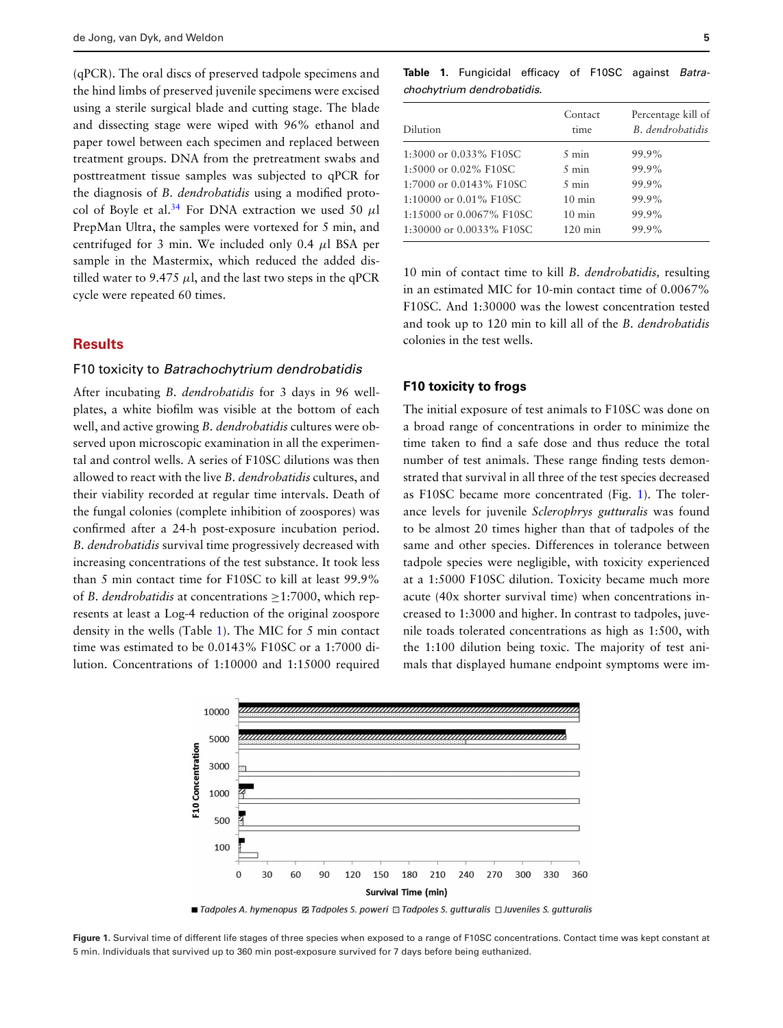(qPCR). The oral discs of preserved tadpole specimens and the hind limbs of preserved juvenile specimens were excised using a sterile surgical blade and cutting stage. The blade and dissecting stage were wiped with 96% ethanol and paper towel between each specimen and replaced between treatment groups. DNA from the pretreatment swabs and posttreatment tissue samples was subjected to qPCR for the diagnosis of *B. dendrobatidis* using a modified protocol of Boyle et al.<sup>34</sup> For DNA extraction we used 50  $\mu$ l PrepMan Ultra, the samples were vortexed for 5 min, and centrifuged for 3 min. We included only 0.4  $\mu$ l BSA per sample in the Mastermix, which reduced the added distilled water to 9.475  $\mu$ l, and the last two steps in the qPCR cycle were repeated 60 times.

## **Results**

#### F10 toxicity to *Batrachochytrium dendrobatidis*

After incubating *B. dendrobatidis* for 3 days in 96 wellplates, a white biofilm was visible at the bottom of each well, and active growing *B. dendrobatidis* cultures were observed upon microscopic examination in all the experimental and control wells. A series of F10SC dilutions was then allowed to react with the live *B. dendrobatidis* cultures, and their viability recorded at regular time intervals. Death of the fungal colonies (complete inhibition of zoospores) was confirmed after a 24-h post-exposure incubation period. *B. dendrobatidis* survival time progressively decreased with increasing concentrations of the test substance. It took less than 5 min contact time for F10SC to kill at least 99.9% of *B. dendrobatidis* at concentrations ≥1:7000, which represents at least a Log-4 reduction of the original zoospore density in the wells (Table [1\)](#page-4-1). The MIC for 5 min contact time was estimated to be 0.0143% F10SC or a 1:7000 dilution. Concentrations of 1:10000 and 1:15000 required

<span id="page-4-1"></span>

|  | <b>Table 1.</b> Fungicidal efficacy of F10SC against <i>Batra</i> - |  |  |  |
|--|---------------------------------------------------------------------|--|--|--|
|  | chochytrium dendrobatidis.                                          |  |  |  |

| Dilution                 | Contact<br>time   | Percentage kill of<br>B. dendrobatidis |  |
|--------------------------|-------------------|----------------------------------------|--|
| 1:3000 or 0.033% F10SC   | $5 \text{ min}$   | 99.9%                                  |  |
| 1:5000 or 0.02% F10SC    | $5 \text{ min}$   | 99.9%                                  |  |
| 1:7000 or 0.0143% F10SC  | $5 \text{ min}$   | 99.9%                                  |  |
| 1:10000 or 0.01% F10SC   | $10 \text{ min}$  | 99.9%                                  |  |
| 1:15000 or 0.0067% F10SC | $10 \text{ min}$  | 99.9%                                  |  |
| 1:30000 or 0.0033% F10SC | $120 \text{ min}$ | 99.9%                                  |  |

10 min of contact time to kill *B. dendrobatidis,* resulting in an estimated MIC for 10-min contact time of 0.0067% F10SC. And 1:30000 was the lowest concentration tested and took up to 120 min to kill all of the *B. dendrobatidis* colonies in the test wells.

#### **F10 toxicity to frogs**

The initial exposure of test animals to F10SC was done on a broad range of concentrations in order to minimize the time taken to find a safe dose and thus reduce the total number of test animals. These range finding tests demonstrated that survival in all three of the test species decreased as F10SC became more concentrated (Fig. [1\)](#page-4-0). The tolerance levels for juvenile *Sclerophrys gutturalis* was found to be almost 20 times higher than that of tadpoles of the same and other species. Differences in tolerance between tadpole species were negligible, with toxicity experienced at a 1:5000 F10SC dilution. Toxicity became much more acute (40x shorter survival time) when concentrations increased to 1:3000 and higher. In contrast to tadpoles, juvenile toads tolerated concentrations as high as 1:500, with the 1:100 dilution being toxic. The majority of test animals that displayed humane endpoint symptoms were im-

<span id="page-4-0"></span>

Figure 1. Survival time of different life stages of three species when exposed to a range of F10SC concentrations. Contact time was kept constant at 5 min. Individuals that survived up to 360 min post-exposure survived for 7 days before being euthanized.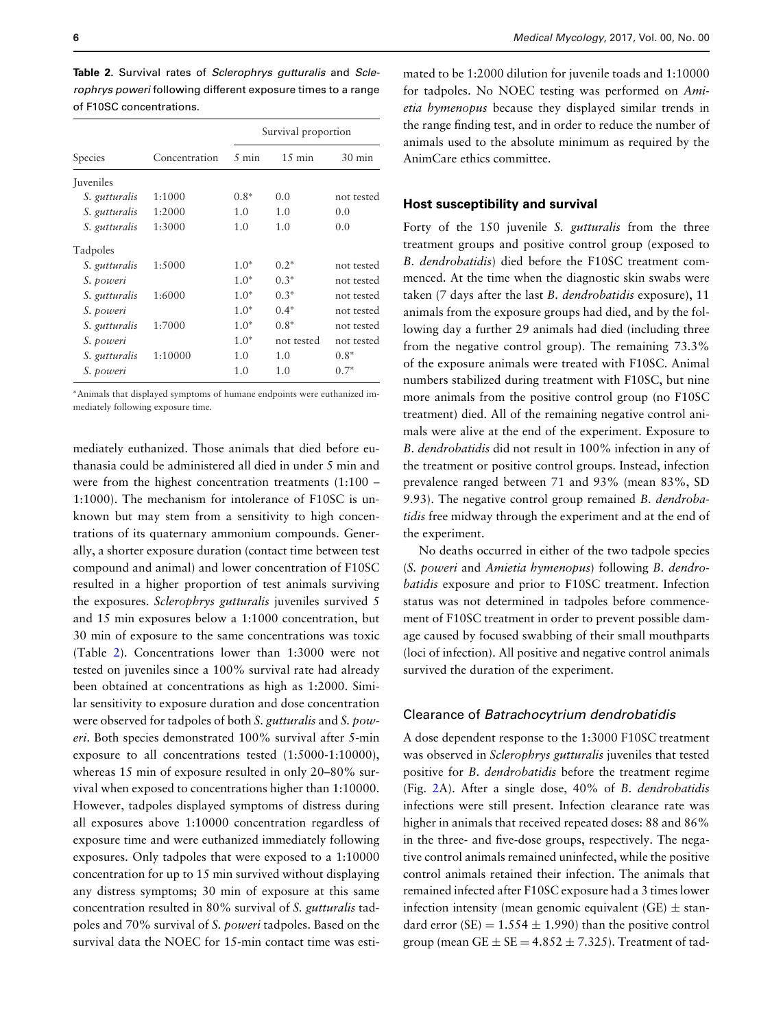Survival proportion Species Concentration 5 min 15 min 30 min Juveniles *S. gutturalis* 1:1000 0.8∗ 0.0 not tested *S. gutturalis* 1:2000 1.0 1.0 0.0 *S. gutturalis* 1:3000 1.0 1.0 0.0 Tadpoles *S. gutturalis* 1:5000 1.0<sup>∗</sup> 0.2<sup>∗</sup> not tested *S. poweri* 1.0∗ 0.3∗ not tested *S. gutturalis* 1:6000 1.0<sup>∗</sup> 0.3<sup>∗</sup> not tested *S. poweri* 1.0∗ 0.4∗ not tested *S. gutturalis* 1:7000 1.0<sup>∗</sup> 0.8<sup>∗</sup> not tested *S. poweri* 1.0∗ not tested not tested *S. gutturalis* 1:10000 1.0 1.0 0.8<sup>∗</sup> *S. poweri* 1.0 1.0 0.7<sup>∗</sup>

<span id="page-5-0"></span>**Table 2.** Survival rates of *Sclerophrys gutturalis* and *Sclerophrys poweri* following different exposure times to a range of F10SC concentrations.

∗Animals that displayed symptoms of humane endpoints were euthanized immediately following exposure time.

mediately euthanized. Those animals that died before euthanasia could be administered all died in under 5 min and were from the highest concentration treatments (1:100 – 1:1000). The mechanism for intolerance of F10SC is unknown but may stem from a sensitivity to high concentrations of its quaternary ammonium compounds. Generally, a shorter exposure duration (contact time between test compound and animal) and lower concentration of F10SC resulted in a higher proportion of test animals surviving the exposures. *Sclerophrys gutturalis* juveniles survived 5 and 15 min exposures below a 1:1000 concentration, but 30 min of exposure to the same concentrations was toxic (Table [2\)](#page-5-0). Concentrations lower than 1:3000 were not tested on juveniles since a 100% survival rate had already been obtained at concentrations as high as 1:2000. Similar sensitivity to exposure duration and dose concentration were observed for tadpoles of both *S. gutturalis* and *S. poweri*. Both species demonstrated 100% survival after 5-min exposure to all concentrations tested (1:5000-1:10000), whereas 15 min of exposure resulted in only 20–80% survival when exposed to concentrations higher than 1:10000. However, tadpoles displayed symptoms of distress during all exposures above 1:10000 concentration regardless of exposure time and were euthanized immediately following exposures. Only tadpoles that were exposed to a 1:10000 concentration for up to 15 min survived without displaying any distress symptoms; 30 min of exposure at this same concentration resulted in 80% survival of *S. gutturalis* tadpoles and 70% survival of *S. poweri* tadpoles. Based on the survival data the NOEC for 15-min contact time was esti-

mated to be 1:2000 dilution for juvenile toads and 1:10000 for tadpoles. No NOEC testing was performed on *Amietia hymenopus* because they displayed similar trends in the range finding test, and in order to reduce the number of animals used to the absolute minimum as required by the AnimCare ethics committee.

#### **Host susceptibility and survival**

Forty of the 150 juvenile *S. gutturalis* from the three treatment groups and positive control group (exposed to *B. dendrobatidis*) died before the F10SC treatment commenced. At the time when the diagnostic skin swabs were taken (7 days after the last *B. dendrobatidis* exposure), 11 animals from the exposure groups had died, and by the following day a further 29 animals had died (including three from the negative control group). The remaining 73.3% of the exposure animals were treated with F10SC. Animal numbers stabilized during treatment with F10SC, but nine more animals from the positive control group (no F10SC treatment) died. All of the remaining negative control animals were alive at the end of the experiment. Exposure to *B. dendrobatidis* did not result in 100% infection in any of the treatment or positive control groups. Instead, infection prevalence ranged between 71 and 93% (mean 83%, SD 9.93). The negative control group remained *B. dendrobatidis* free midway through the experiment and at the end of the experiment.

No deaths occurred in either of the two tadpole species (*S. poweri* and *Amietia hymenopus*) following *B. dendrobatidis* exposure and prior to F10SC treatment. Infection status was not determined in tadpoles before commencement of F10SC treatment in order to prevent possible damage caused by focused swabbing of their small mouthparts (loci of infection). All positive and negative control animals survived the duration of the experiment.

#### Clearance of *Batrachocytrium dendrobatidis*

A dose dependent response to the 1:3000 F10SC treatment was observed in *Sclerophrys gutturalis* juveniles that tested positive for *B. dendrobatidis* before the treatment regime (Fig. [2A](#page-6-0)). After a single dose, 40% of *B. dendrobatidis* infections were still present. Infection clearance rate was higher in animals that received repeated doses: 88 and 86% in the three- and five-dose groups, respectively. The negative control animals remained uninfected, while the positive control animals retained their infection. The animals that remained infected after F10SC exposure had a 3 times lower infection intensity (mean genomic equivalent (GE)  $\pm$  standard error  $(SE) = 1.554 \pm 1.990$ ) than the positive control group (mean GE  $\pm$  SE = 4.852  $\pm$  7.325). Treatment of tad-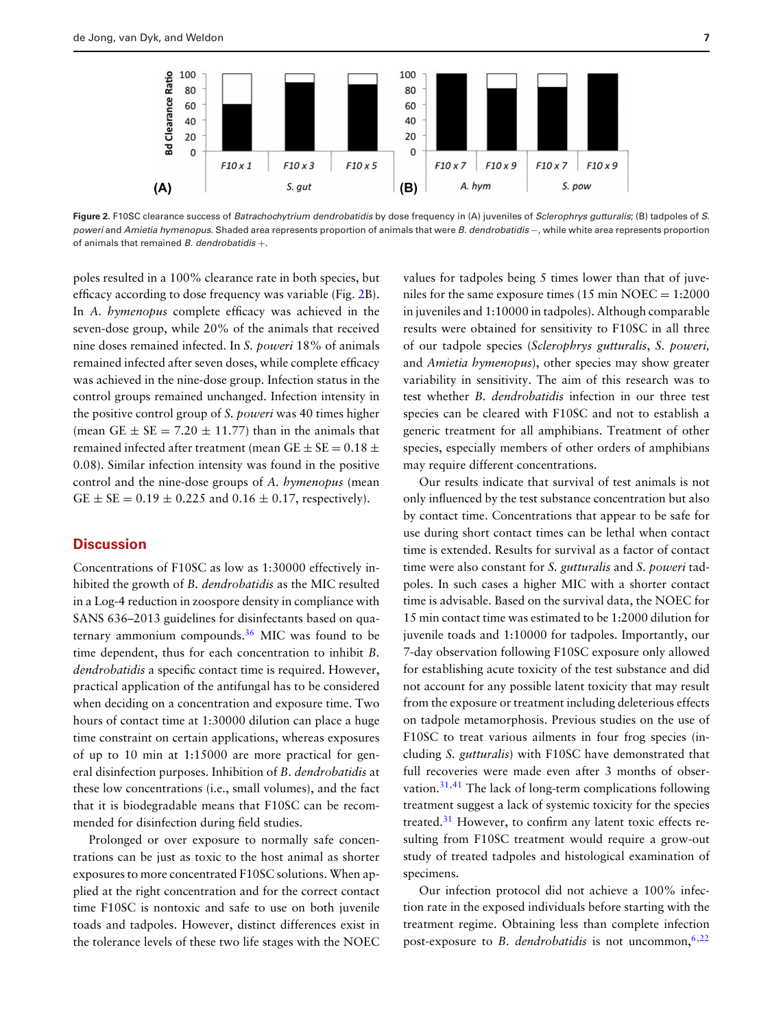<span id="page-6-0"></span>

**Figure 2.** F10SC clearance success of *Batrachochytrium dendrobatidis* by dose frequency in (A) juveniles of *Sclerophrys gutturalis*; (B) tadpoles of *S. poweri* and *Amietia hymenopus.* Shaded area represents proportion of animals that were *B. dendrobatidis* −, while white area represents proportion of animals that remained *B. dendrobatidis* +.

poles resulted in a 100% clearance rate in both species, but efficacy according to dose frequency was variable (Fig. [2B](#page-6-0)). In *A. hymenopus* complete efficacy was achieved in the seven-dose group, while 20% of the animals that received nine doses remained infected. In *S. poweri* 18% of animals remained infected after seven doses, while complete efficacy was achieved in the nine-dose group. Infection status in the control groups remained unchanged. Infection intensity in the positive control group of *S. poweri* was 40 times higher (mean GE  $\pm$  SE = 7.20  $\pm$  11.77) than in the animals that remained infected after treatment (mean GE  $\pm$  SE = 0.18  $\pm$ 0.08). Similar infection intensity was found in the positive control and the nine-dose groups of *A. hymenopus* (mean  $GE \pm SE = 0.19 \pm 0.225$  and  $0.16 \pm 0.17$ , respectively).

#### **Discussion**

Concentrations of F10SC as low as 1:30000 effectively inhibited the growth of *B. dendrobatidis* as the MIC resulted in a Log-4 reduction in zoospore density in compliance with SANS 636–2013 guidelines for disinfectants based on quaternary ammonium compounds[.36](#page-8-23) MIC was found to be time dependent, thus for each concentration to inhibit *B. dendrobatidis* a specific contact time is required. However, practical application of the antifungal has to be considered when deciding on a concentration and exposure time. Two hours of contact time at 1:30000 dilution can place a huge time constraint on certain applications, whereas exposures of up to 10 min at 1:15000 are more practical for general disinfection purposes. Inhibition of *B. dendrobatidis* at these low concentrations (i.e., small volumes), and the fact that it is biodegradable means that F10SC can be recommended for disinfection during field studies.

Prolonged or over exposure to normally safe concentrations can be just as toxic to the host animal as shorter exposures to more concentrated F10SC solutions. When applied at the right concentration and for the correct contact time F10SC is nontoxic and safe to use on both juvenile toads and tadpoles. However, distinct differences exist in the tolerance levels of these two life stages with the NOEC

values for tadpoles being 5 times lower than that of juveniles for the same exposure times  $(15 \text{ min } NOEC = 1:2000$ in juveniles and 1:10000 in tadpoles). Although comparable results were obtained for sensitivity to F10SC in all three of our tadpole species (*Sclerophrys gutturalis*, *S. poweri,* and *Amietia hymenopus*), other species may show greater variability in sensitivity. The aim of this research was to test whether *B. dendrobatidis* infection in our three test species can be cleared with F10SC and not to establish a generic treatment for all amphibians. Treatment of other species, especially members of other orders of amphibians may require different concentrations.

Our results indicate that survival of test animals is not only influenced by the test substance concentration but also by contact time. Concentrations that appear to be safe for use during short contact times can be lethal when contact time is extended. Results for survival as a factor of contact time were also constant for *S. gutturalis* and *S. poweri* tadpoles. In such cases a higher MIC with a shorter contact time is advisable. Based on the survival data, the NOEC for 15 min contact time was estimated to be 1:2000 dilution for juvenile toads and 1:10000 for tadpoles. Importantly, our 7-day observation following F10SC exposure only allowed for establishing acute toxicity of the test substance and did not account for any possible latent toxicity that may result from the exposure or treatment including deleterious effects on tadpole metamorphosis. Previous studies on the use of F10SC to treat various ailments in four frog species (including *S. gutturalis*) with F10SC have demonstrated that full recoveries were made even after 3 months of observation.[31,](#page-8-19)[41](#page-8-29) The lack of long-term complications following treatment suggest a lack of systemic toxicity for the species treated.<sup>[31](#page-8-19)</sup> However, to confirm any latent toxic effects resulting from F10SC treatment would require a grow-out study of treated tadpoles and histological examination of specimens.

Our infection protocol did not achieve a 100% infection rate in the exposed individuals before starting with the treatment regime. Obtaining less than complete infection post-exposure to *B. dendrobatidis* is not uncommon,<sup>6,[22](#page-8-10)</sup>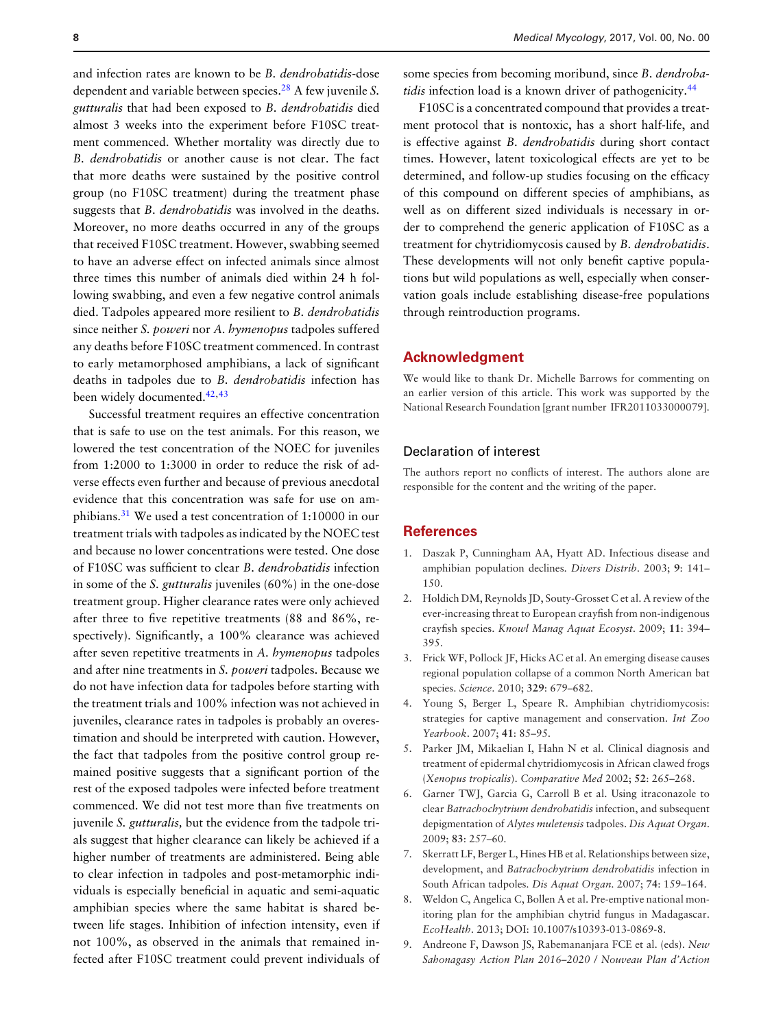and infection rates are known to be *B. dendrobatidis*-dose dependent and variable between species[.28](#page-8-16) A few juvenile *S. gutturalis* that had been exposed to *B. dendrobatidis* died almost 3 weeks into the experiment before F10SC treatment commenced. Whether mortality was directly due to *B. dendrobatidis* or another cause is not clear. The fact that more deaths were sustained by the positive control group (no F10SC treatment) during the treatment phase suggests that *B. dendrobatidis* was involved in the deaths. Moreover, no more deaths occurred in any of the groups that received F10SC treatment. However, swabbing seemed to have an adverse effect on infected animals since almost three times this number of animals died within 24 h following swabbing, and even a few negative control animals died. Tadpoles appeared more resilient to *B. dendrobatidis* since neither *S. poweri* nor *A. hymenopus* tadpoles suffered any deaths before F10SC treatment commenced. In contrast to early metamorphosed amphibians, a lack of significant deaths in tadpoles due to *B. dendrobatidis* infection has been widely documented.<sup>42[,43](#page-8-31)</sup>

Successful treatment requires an effective concentration that is safe to use on the test animals. For this reason, we lowered the test concentration of the NOEC for juveniles from 1:2000 to 1:3000 in order to reduce the risk of adverse effects even further and because of previous anecdotal evidence that this concentration was safe for use on amphibians.[31](#page-8-19) We used a test concentration of 1:10000 in our treatment trials with tadpoles as indicated by the NOEC test and because no lower concentrations were tested. One dose of F10SC was sufficient to clear *B. dendrobatidis* infection in some of the *S. gutturalis* juveniles (60%) in the one-dose treatment group. Higher clearance rates were only achieved after three to five repetitive treatments (88 and 86%, respectively). Significantly, a 100% clearance was achieved after seven repetitive treatments in *A. hymenopus* tadpoles and after nine treatments in *S. poweri* tadpoles. Because we do not have infection data for tadpoles before starting with the treatment trials and 100% infection was not achieved in juveniles, clearance rates in tadpoles is probably an overestimation and should be interpreted with caution. However, the fact that tadpoles from the positive control group remained positive suggests that a significant portion of the rest of the exposed tadpoles were infected before treatment commenced. We did not test more than five treatments on juvenile *S. gutturalis,* but the evidence from the tadpole trials suggest that higher clearance can likely be achieved if a higher number of treatments are administered. Being able to clear infection in tadpoles and post-metamorphic individuals is especially beneficial in aquatic and semi-aquatic amphibian species where the same habitat is shared between life stages. Inhibition of infection intensity, even if not 100%, as observed in the animals that remained infected after F10SC treatment could prevent individuals of

some species from becoming moribund, since *B. dendrobatidis* infection load is a known driver of pathogenicity.<sup>[44](#page-8-32)</sup>

F10SC is a concentrated compound that provides a treatment protocol that is nontoxic, has a short half-life, and is effective against *B. dendrobatidis* during short contact times. However, latent toxicological effects are yet to be determined, and follow-up studies focusing on the efficacy of this compound on different species of amphibians, as well as on different sized individuals is necessary in order to comprehend the generic application of F10SC as a treatment for chytridiomycosis caused by *B. dendrobatidis*. These developments will not only benefit captive populations but wild populations as well, especially when conservation goals include establishing disease-free populations through reintroduction programs.

#### **Acknowledgment**

We would like to thank Dr. Michelle Barrows for commenting on an earlier version of this article. This work was supported by the National Research Foundation [grant number IFR2011033000079].

#### Declaration of interest

The authors report no conflicts of interest. The authors alone are responsible for the content and the writing of the paper.

#### **References**

- <span id="page-7-0"></span>1. Daszak P, Cunningham AA, Hyatt AD. Infectious disease and amphibian population declines. *Divers Distrib*. 2003; **9**: 141– 150.
- 2. Holdich DM, Reynolds JD, Souty-Grosset C et al. A review of the ever-increasing threat to European crayfish from non-indigenous crayfish species. *Knowl Manag Aquat Ecosyst*. 2009; **11**: 394– 395.
- <span id="page-7-1"></span>3. Frick WF, Pollock JF, Hicks AC et al. An emerging disease causes regional population collapse of a common North American bat species. *Science*. 2010; **329**: 679–682.
- <span id="page-7-2"></span>4. Young S, Berger L, Speare R. Amphibian chytridiomycosis: strategies for captive management and conservation. *Int Zoo Yearbook*. 2007; **41**: 85–95.
- <span id="page-7-3"></span>5. Parker JM, Mikaelian I, Hahn N et al. Clinical diagnosis and treatment of epidermal chytridiomycosis in African clawed frogs (*Xenopus tropicalis*). *Comparative Med* 2002; **52**: 265–268.
- <span id="page-7-4"></span>6. Garner TWJ, Garcia G, Carroll B et al. Using itraconazole to clear *Batrachochytrium dendrobatidis* infection, and subsequent depigmentation of *Alytes muletensis* tadpoles. *Dis Aquat Organ*. 2009; **83**: 257–60.
- <span id="page-7-5"></span>7. Skerratt LF, Berger L, Hines HB et al. Relationships between size, development, and *Batrachochytrium dendrobatidis* infection in South African tadpoles. *Dis Aquat Organ*. 2007; **74**: 159–164.
- 8. Weldon C, Angelica C, Bollen A et al. Pre-emptive national monitoring plan for the amphibian chytrid fungus in Madagascar. *EcoHealth*. 2013; DOI: 10.1007/s10393-013-0869-8.
- <span id="page-7-6"></span>9. Andreone F, Dawson JS, Rabemananjara FCE et al. (eds). *New Sahonagasy Action Plan 2016–2020 / Nouveau Plan d'Action*